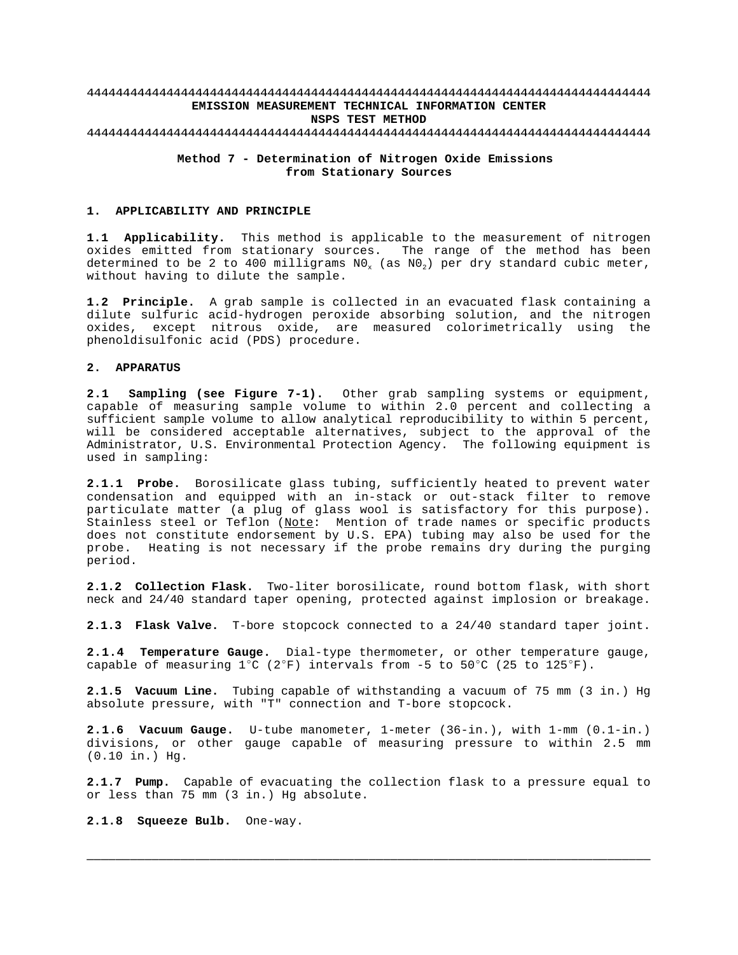# 444444444444444444444444444444444444444444444444444444444444444444444444444444 **EMISSION MEASUREMENT TECHNICAL INFORMATION CENTER NSPS TEST METHOD** 444444444444444444444444444444444444444444444444444444444444444444444444444444

# **Method 7 - Determination of Nitrogen Oxide Emissions from Stationary Sources**

### **1. APPLICABILITY AND PRINCIPLE**

**1.1 Applicability.** This method is applicable to the measurement of nitrogen oxides emitted from stationary sources. The range of the method has been determined to be 2 to 400 milligrams  $NO_x$  (as  $NO_2$ ) per dry standard cubic meter, without having to dilute the sample.

**1.2 Principle.** A grab sample is collected in an evacuated flask containing a dilute sulfuric acid-hydrogen peroxide absorbing solution, and the nitrogen oxides, except nitrous oxide, are measured colorimetrically using the phenoldisulfonic acid (PDS) procedure.

#### **2. APPARATUS**

**2.1 Sampling (see Figure 7-1).** Other grab sampling systems or equipment, capable of measuring sample volume to within 2.0 percent and collecting a sufficient sample volume to allow analytical reproducibility to within 5 percent, will be considered acceptable alternatives, subject to the approval of the Administrator, U.S. Environmental Protection Agency. The following equipment is used in sampling:

**2.1.1 Probe.** Borosilicate glass tubing, sufficiently heated to prevent water condensation and equipped with an in-stack or out-stack filter to remove particulate matter (a plug of glass wool is satisfactory for this purpose). Stainless steel or Teflon (Note: Mention of trade names or specific products does not constitute endorsement by U.S. EPA) tubing may also be used for the probe. Heating is not necessary if the probe remains dry during the purging period.

**2.1.2 Collection Flask.** Two-liter borosilicate, round bottom flask, with short neck and 24/40 standard taper opening, protected against implosion or breakage.

**2.1.3 Flask Valve.** T-bore stopcock connected to a 24/40 standard taper joint.

**2.1.4 Temperature Gauge.** Dial-type thermometer, or other temperature gauge, capable of measuring  $1^{\circ}C$  ( $2^{\circ}F$ ) intervals from -5 to 50°C (25 to 125°F).

**2.1.5 Vacuum Line.** Tubing capable of withstanding a vacuum of 75 mm (3 in.) Hg absolute pressure, with "T" connection and T-bore stopcock.

**2.1.6 Vacuum Gauge.** U-tube manometer, 1-meter (36-in.), with 1-mm (0.1-in.) divisions, or other gauge capable of measuring pressure to within 2.5 mm (0.10 in.) Hg.

**2.1.7 Pump.** Capable of evacuating the collection flask to a pressure equal to or less than 75 mm (3 in.) Hg absolute.

——————————————————————————————————————————————————————————————————————————————

**2.1.8 Squeeze Bulb.** One-way.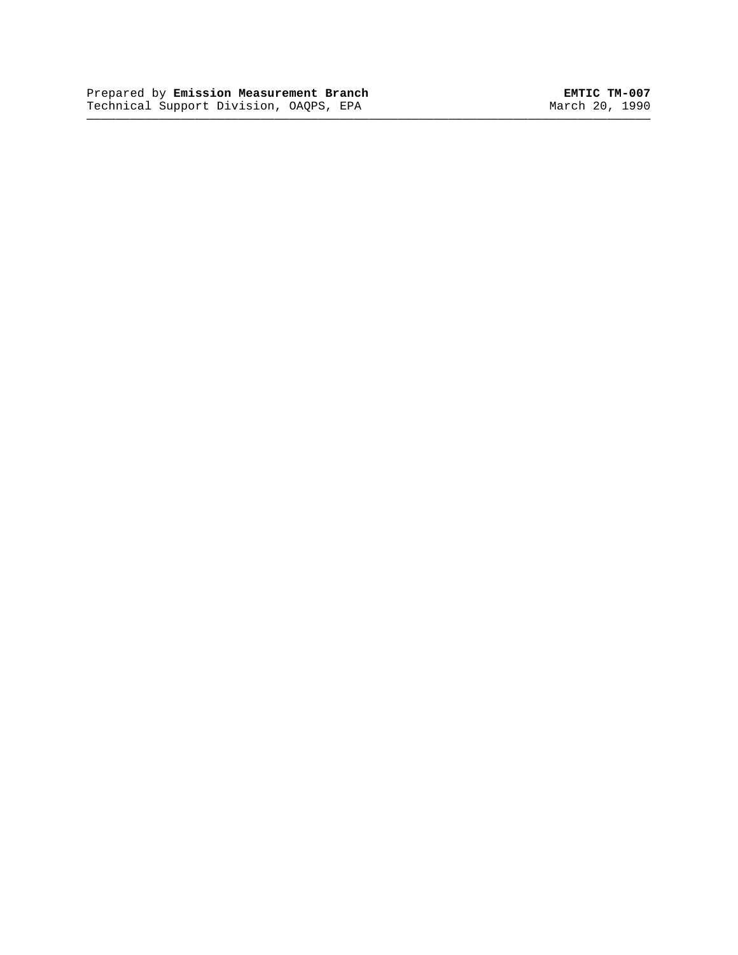——————————————————————————————————————————————————————————————————————————————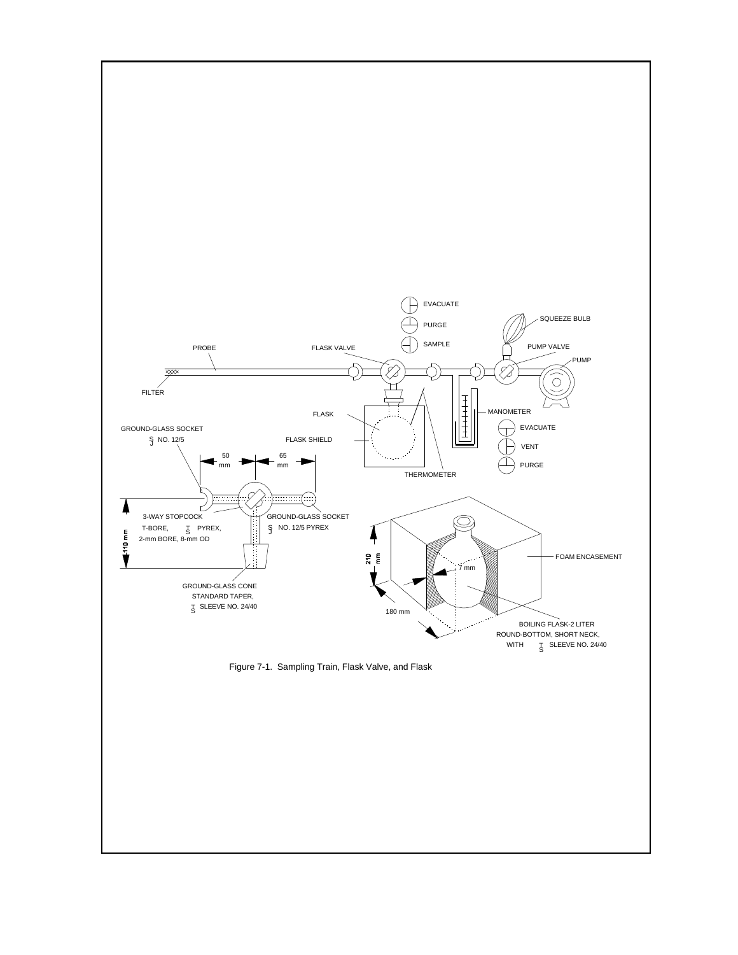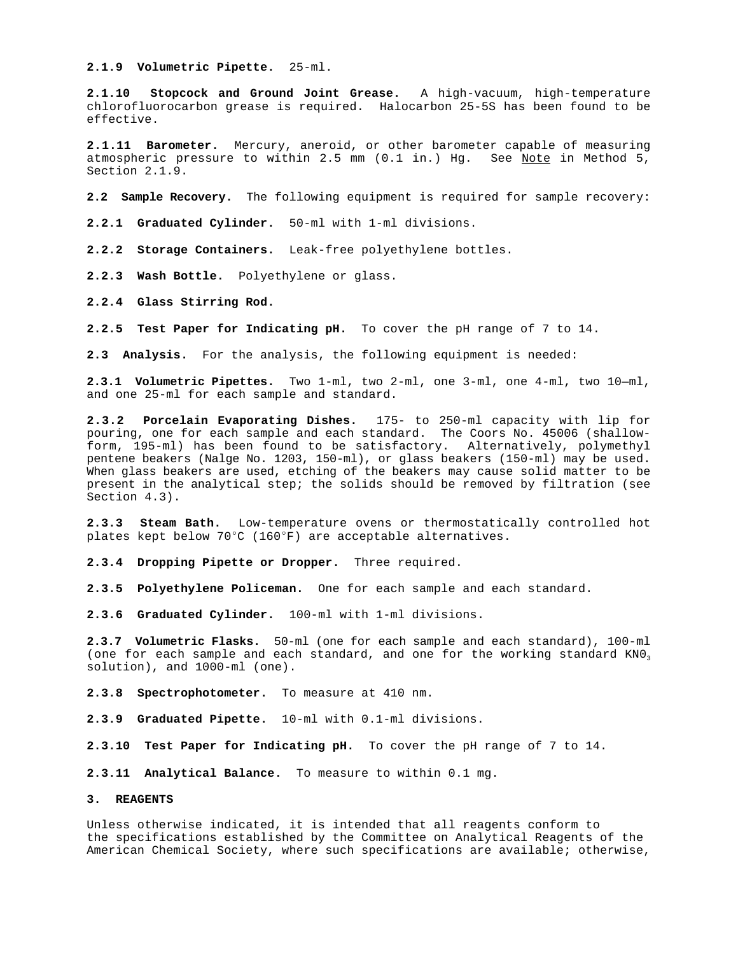#### **2.1.9 Volumetric Pipette.** 25-ml.

**2.1.10 Stopcock and Ground Joint Grease.** A high-vacuum, high-temperature chlorofluorocarbon grease is required. Halocarbon 25-5S has been found to be effective.

**2.1.11 Barometer.** Mercury, aneroid, or other barometer capable of measuring atmospheric pressure to within 2.5 mm (0.1 in.) Hg. See Note in Method 5, Section 2.1.9.

**2.2 Sample Recovery.** The following equipment is required for sample recovery:

**2.2.1 Graduated Cylinder.** 50-ml with 1-ml divisions.

**2.2.2 Storage Containers.** Leak-free polyethylene bottles.

**2.2.3 Wash Bottle.** Polyethylene or glass.

**2.2.4 Glass Stirring Rod.**

**2.2.5 Test Paper for Indicating pH.** To cover the pH range of 7 to 14.

**2.3 Analysis.** For the analysis, the following equipment is needed:

**2.3.1 Volumetric Pipettes.** Two 1-ml, two 2-ml, one 3-ml, one 4-ml, two 10—ml, and one 25-ml for each sample and standard.

**2.3.2 Porcelain Evaporating Dishes.** 175- to 250-ml capacity with lip for pouring, one for each sample and each standard. The Coors No. 45006 (shallowform, 195-ml) has been found to be satisfactory. Alternatively, polymethyl pentene beakers (Nalge No. 1203, 150-ml), or glass beakers (150-ml) may be used. When glass beakers are used, etching of the beakers may cause solid matter to be present in the analytical step; the solids should be removed by filtration (see Section 4.3).

**2.3.3 Steam Bath.** Low-temperature ovens or thermostatically controlled hot plates kept below  $70^{\circ}$ C (160 $^{\circ}$ F) are acceptable alternatives.

**2.3.4 Dropping Pipette or Dropper.** Three required.

**2.3.5 Polyethylene Policeman.** One for each sample and each standard.

**2.3.6 Graduated Cylinder.** 100-ml with 1-ml divisions.

**2.3.7 Volumetric Flasks.** 50-ml (one for each sample and each standard), 100-ml (one for each sample and each standard, and one for the working standard  $KNO<sub>3</sub>$ solution), and 1000-ml (one).

**2.3.8 Spectrophotometer.** To measure at 410 nm.

**2.3.9 Graduated Pipette.** 10-ml with 0.1-ml divisions.

**2.3.10 Test Paper for Indicating pH.** To cover the pH range of 7 to 14.

**2.3.11 Analytical Balance.** To measure to within 0.1 mg.

#### **3. REAGENTS**

Unless otherwise indicated, it is intended that all reagents conform to the specifications established by the Committee on Analytical Reagents of the American Chemical Society, where such specifications are available; otherwise,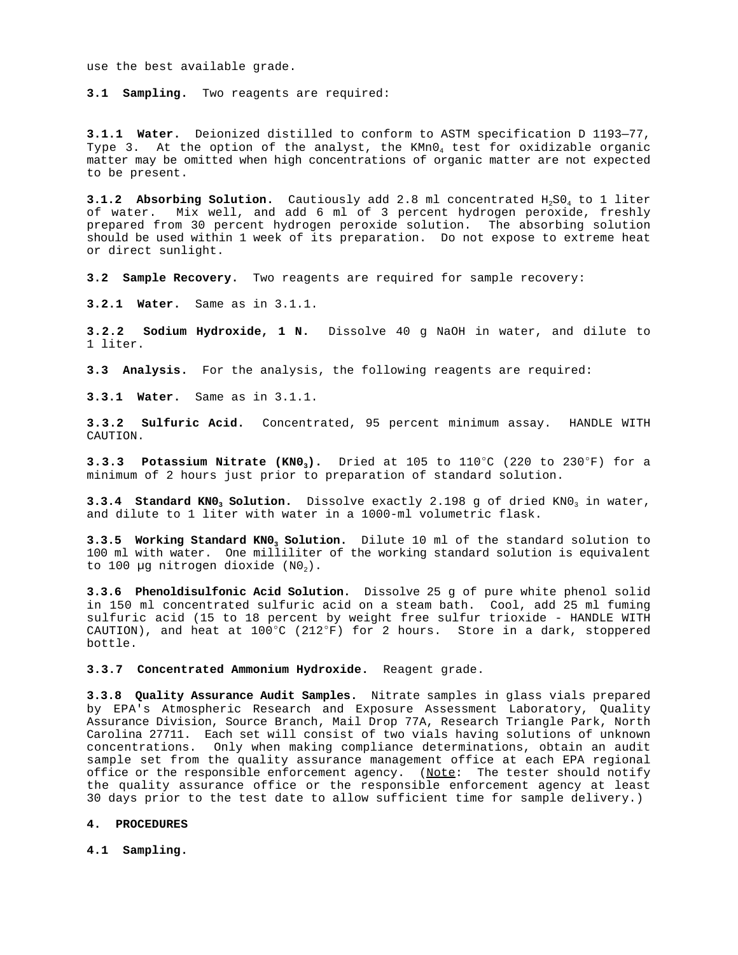use the best available grade.

**3.1 Sampling.** Two reagents are required:

**3.1.1 Water.** Deionized distilled to conform to ASTM specification D 1193—77, Type 3. At the option of the analyst, the  $KMD<sub>4</sub>$  test for oxidizable organic matter may be omitted when high concentrations of organic matter are not expected to be present.

**3.1.2 Absorbing Solution.** Cautiously add 2.8 ml concentrated H<sub>2</sub>SO<sub>4</sub> to 1 liter of water. Mix well, and add 6 ml of 3 percent hydrogen peroxide, freshly prepared from 30 percent hydrogen peroxide solution. The absorbing solution should be used within 1 week of its preparation. Do not expose to extreme heat or direct sunlight.

**3.2 Sample Recovery.** Two reagents are required for sample recovery:

**3.2.1 Water.** Same as in 3.1.1.

**3.2.2 Sodium Hydroxide, 1 N.** Dissolve 40 g NaOH in water, and dilute to 1 liter.

**3.3 Analysis.** For the analysis, the following reagents are required:

**3.3.1 Water.** Same as in 3.1.1.

**3.3.2 Sulfuric Acid.** Concentrated, 95 percent minimum assay. HANDLE WITH CAUTION.

**3.3.3 Potassium Nitrate (KNO<sub>3</sub>).** Dried at 105 to  $110^{\circ}$ C (220 to 230 $^{\circ}$ F) for a minimum of 2 hours just prior to preparation of standard solution.

**3.3.4 Standard KNO<sub>3</sub>** Solution. Dissolve exactly 2.198 g of dried KNO<sub>3</sub> in water, and dilute to 1 liter with water in a 1000-ml volumetric flask.

**3.3.5 Working Standard KN03 Solution.** Dilute 10 ml of the standard solution to 100 ml with water. One milliliter of the working standard solution is equivalent to 100 µg nitrogen dioxide  $(NO<sub>2</sub>)$ .

**3.3.6 Phenoldisulfonic Acid Solution.** Dissolve 25 g of pure white phenol solid in 150 ml concentrated sulfuric acid on a steam bath. Cool, add 25 ml fuming sulfuric acid (15 to 18 percent by weight free sulfur trioxide - HANDLE WITH CAUTION), and heat at  $100^{\circ}$ C (212 $^{\circ}$ F) for 2 hours. Store in a dark, stoppered bottle.

**3.3.7 Concentrated Ammonium Hydroxide.** Reagent grade.

**3.3.8 Quality Assurance Audit Samples.** Nitrate samples in glass vials prepared by EPA's Atmospheric Research and Exposure Assessment Laboratory, Quality Assurance Division, Source Branch, Mail Drop 77A, Research Triangle Park, North Carolina 27711. Each set will consist of two vials having solutions of unknown concentrations. Only when making compliance determinations, obtain an audit sample set from the quality assurance management office at each EPA regional office or the responsible enforcement agency. (Note: The tester should notify the quality assurance office or the responsible enforcement agency at least 30 days prior to the test date to allow sufficient time for sample delivery.)

**4. PROCEDURES**

**4.1 Sampling.**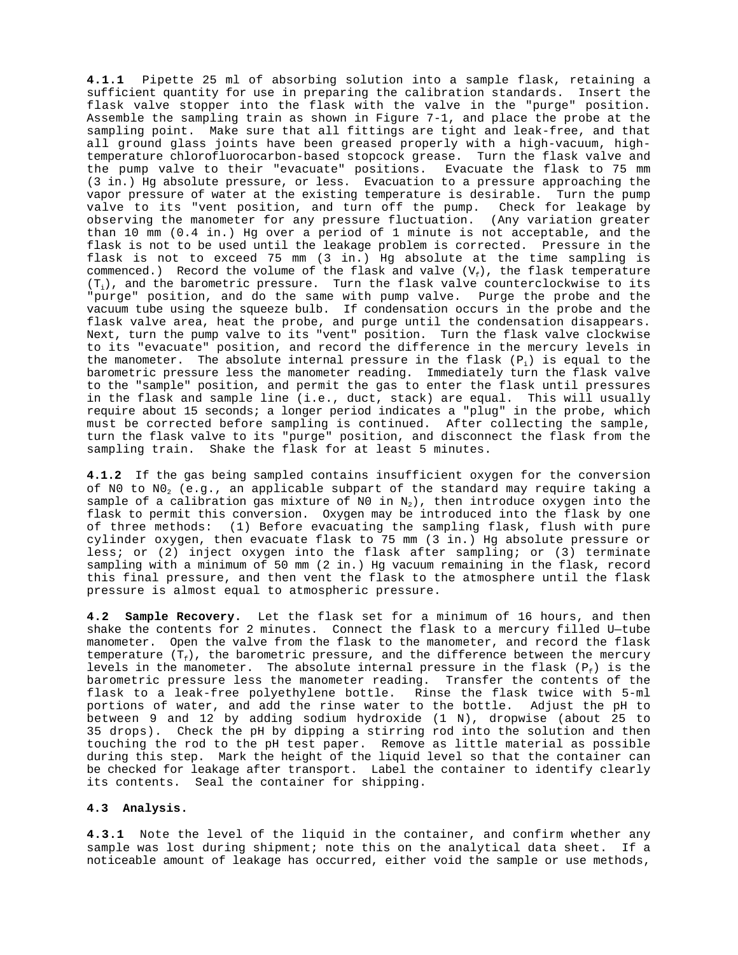**4.1.1** Pipette 25 ml of absorbing solution into a sample flask, retaining a sufficient quantity for use in preparing the calibration standards. Insert the flask valve stopper into the flask with the valve in the "purge" position. Assemble the sampling train as shown in Figure 7-1, and place the probe at the sampling point. Make sure that all fittings are tight and leak-free, and that all ground glass joints have been greased properly with a high-vacuum, hightemperature chlorofluorocarbon-based stopcock grease. Turn the flask valve and the pump valve to their "evacuate" positions. Evacuate the flask to 75 mm (3 in.) Hg absolute pressure, or less. Evacuation to a pressure approaching the vapor pressure of water at the existing temperature is desirable. Turn the pump valve to its "vent position, and turn off the pump. Check for leakage by observing the manometer for any pressure fluctuation. (Any variation greater than 10 mm (0.4 in.) Hg over a period of 1 minute is not acceptable, and the flask is not to be used until the leakage problem is corrected. Pressure in the flask is not to exceed 75 mm (3 in.) Hg absolute at the time sampling is commenced.) Record the volume of the flask and valve  $(V_f)$ , the flask temperature  $(T_i)$ , and the barometric pressure. Turn the flask valve counterclockwise to its "purge" position, and do the same with pump valve. Purge the probe and the vacuum tube using the squeeze bulb. If condensation occurs in the probe and the flask valve area, heat the probe, and purge until the condensation disappears. Next, turn the pump valve to its "vent" position. Turn the flask valve clockwise to its "evacuate" position, and record the difference in the mercury levels in the manometer. The absolute internal pressure in the flask  $(P_i)$  is equal to the barometric pressure less the manometer reading. Immediately turn the flask valve to the "sample" position, and permit the gas to enter the flask until pressures in the flask and sample line (i.e., duct, stack) are equal. This will usually require about 15 seconds; a longer period indicates a "plug" in the probe, which must be corrected before sampling is continued. After collecting the sample, turn the flask valve to its "purge" position, and disconnect the flask from the sampling train. Shake the flask for at least 5 minutes.

**4.1.2** If the gas being sampled contains insufficient oxygen for the conversion of N0 to N0<sub>2</sub> (e.g., an applicable subpart of the standard may require taking a sample of a calibration gas mixture of N0 in  $N_2$ ), then introduce oxygen into the flask to permit this conversion. Oxygen may be introduced into the flask by one of three methods: (1) Before evacuating the sampling flask, flush with pure cylinder oxygen, then evacuate flask to 75 mm (3 in.) Hg absolute pressure or less; or (2) inject oxygen into the flask after sampling; or (3) terminate sampling with a minimum of 50 mm (2 in.) Hg vacuum remaining in the flask, record this final pressure, and then vent the flask to the atmosphere until the flask pressure is almost equal to atmospheric pressure.

**4.2 Sample Recovery.** Let the flask set for a minimum of 16 hours, and then shake the contents for 2 minutes. Connect the flask to a mercury filled U-tube manometer. Open the valve from the flask to the manometer, and record the flask temperature  $(T_f)$ , the barometric pressure, and the difference between the mercury levels in the manometer. The absolute internal pressure in the flask  $(P_f)$  is the barometric pressure less the manometer reading. Transfer the contents of the flask to a leak-free polyethylene bottle. Rinse the flask twice with 5-ml portions of water, and add the rinse water to the bottle. Adjust the pH to between 9 and 12 by adding sodium hydroxide (1 N), dropwise (about 25 to 35 drops). Check the pH by dipping a stirring rod into the solution and then touching the rod to the pH test paper. Remove as little material as possible during this step. Mark the height of the liquid level so that the container can be checked for leakage after transport. Label the container to identify clearly its contents. Seal the container for shipping.

# **4.3 Analysis.**

**4.3.1** Note the level of the liquid in the container, and confirm whether any sample was lost during shipment; note this on the analytical data sheet. If a noticeable amount of leakage has occurred, either void the sample or use methods,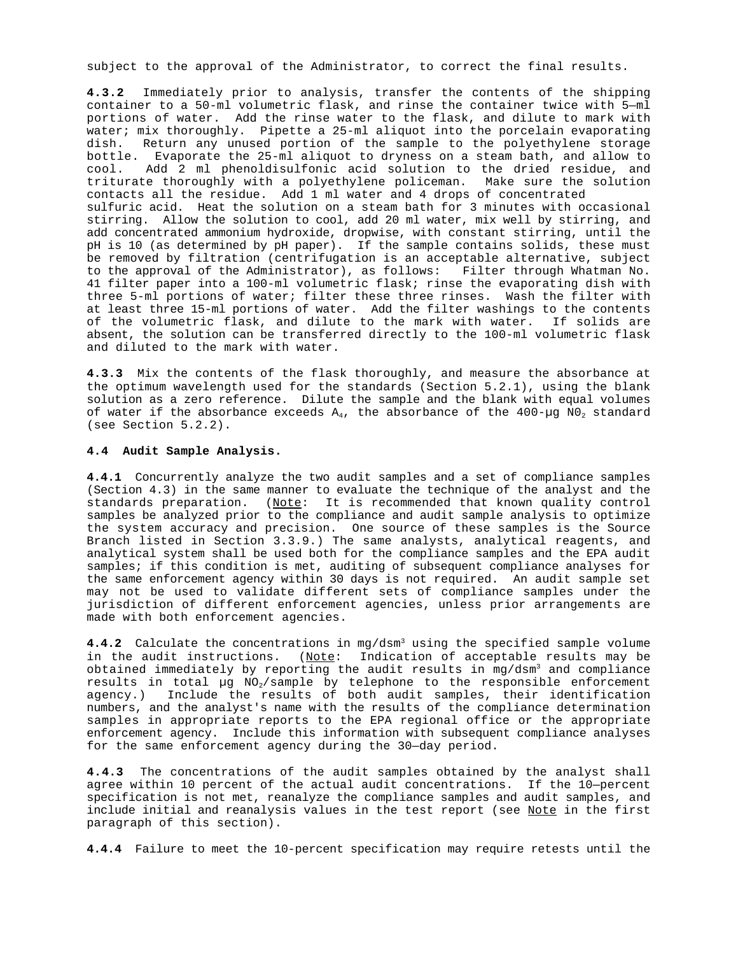subject to the approval of the Administrator, to correct the final results.

**4.3.2** Immediately prior to analysis, transfer the contents of the shipping container to a 50-ml volumetric flask, and rinse the container twice with 5—ml portions of water. Add the rinse water to the flask, and dilute to mark with water; mix thoroughly. Pipette a 25-ml aliquot into the porcelain evaporating dish. Return any unused portion of the sample to the polyethylene storage bottle. Evaporate the 25-ml aliquot to dryness on a steam bath, and allow to cool. Add 2 ml phenoldisulfonic acid solution to the dried residue, and triturate thoroughly with a polyethylene policeman. Make sure the solution contacts all the residue. Add 1 ml water and 4 drops of concentrated sulfuric acid. Heat the solution on a steam bath for 3 minutes with occasional stirring. Allow the solution to cool, add 20 ml water, mix well by stirring, and add concentrated ammonium hydroxide, dropwise, with constant stirring, until the pH is 10 (as determined by pH paper). If the sample contains solids, these must be removed by filtration (centrifugation is an acceptable alternative, subject<br>to the approval of the Administrator), as follows: Filter through Whatman No. to the approval of the Administrator), as follows: 41 filter paper into a 100-ml volumetric flask; rinse the evaporating dish with three 5-ml portions of water; filter these three rinses. Wash the filter with at least three 15-ml portions of water. Add the filter washings to the contents of the volumetric flask, and dilute to the mark with water. If solids are absent, the solution can be transferred directly to the 100-ml volumetric flask and diluted to the mark with water.

**4.3.3** Mix the contents of the flask thoroughly, and measure the absorbance at the optimum wavelength used for the standards (Section 5.2.1), using the blank solution as a zero reference. Dilute the sample and the blank with equal volumes of water if the absorbance exceeds  $A_4$ , the absorbance of the 400-µg NO<sub>2</sub> standard (see Section 5.2.2).

#### **4.4 Audit Sample Analysis.**

**4.4.1** Concurrently analyze the two audit samples and a set of compliance samples (Section 4.3) in the same manner to evaluate the technique of the analyst and the standards preparation. (Note: It is recommended that known quality control samples be analyzed prior to the compliance and audit sample analysis to optimize the system accuracy and precision. One source of these samples is the Source Branch listed in Section 3.3.9.) The same analysts, analytical reagents, and analytical system shall be used both for the compliance samples and the EPA audit samples; if this condition is met, auditing of subsequent compliance analyses for the same enforcement agency within 30 days is not required. An audit sample set may not be used to validate different sets of compliance samples under the jurisdiction of different enforcement agencies, unless prior arrangements are made with both enforcement agencies.

**4.4.2** Calculate the concentrations in mg/dsm<sup>3</sup> using the specified sample volume in the audit instructions. (Note: Indication of acceptable results may be obtained immediately by reporting the audit results in  $mg/ds$  and compliance results in total  $\mu$ g NO<sub>2</sub>/sample by telephone to the responsible enforcement agency.) Include the results of both audit samples, their identification Include the results of both audit samples, their identification numbers, and the analyst's name with the results of the compliance determination samples in appropriate reports to the EPA regional office or the appropriate enforcement agency. Include this information with subsequent compliance analyses for the same enforcement agency during the 30—day period.

**4.4.3** The concentrations of the audit samples obtained by the analyst shall agree within 10 percent of the actual audit concentrations. If the 10—percent specification is not met, reanalyze the compliance samples and audit samples, and include initial and reanalysis values in the test report (see Note in the first paragraph of this section).

**4.4.4** Failure to meet the 10-percent specification may require retests until the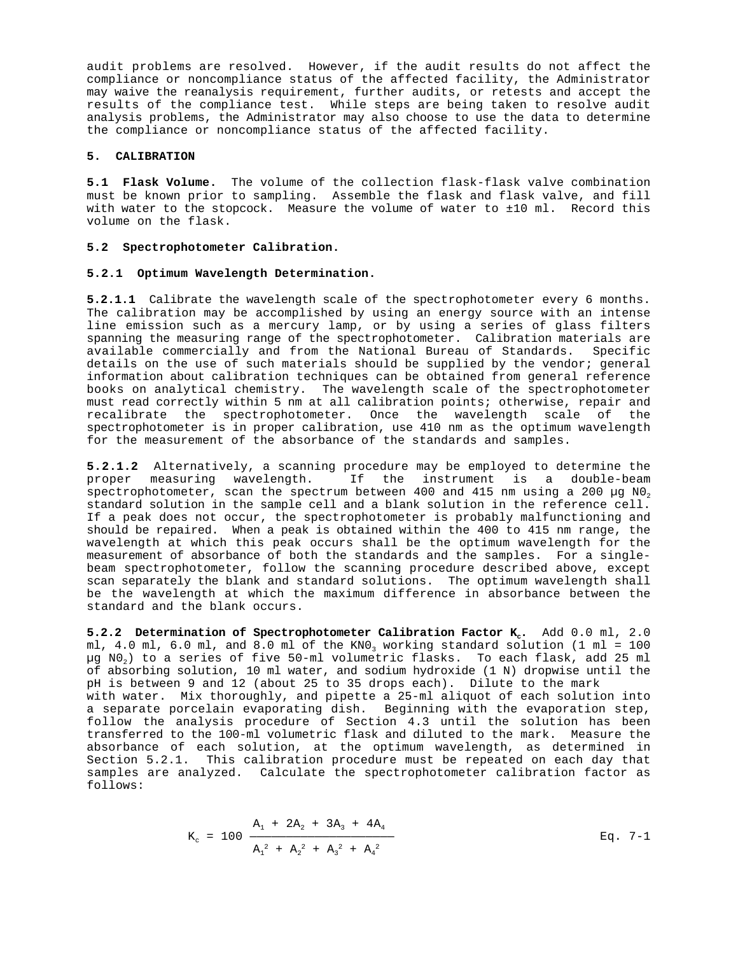audit problems are resolved. However, if the audit results do not affect the compliance or noncompliance status of the affected facility, the Administrator may waive the reanalysis requirement, further audits, or retests and accept the results of the compliance test. While steps are being taken to resolve audit analysis problems, the Administrator may also choose to use the data to determine the compliance or noncompliance status of the affected facility.

# **5. CALIBRATION**

**5.1 Flask Volume.** The volume of the collection flask-flask valve combination must be known prior to sampling. Assemble the flask and flask valve, and fill with water to the stopcock. Measure the volume of water to ±10 ml. Record this volume on the flask.

# **5.2 Spectrophotometer Calibration.**

# **5.2.1 Optimum Wavelength Determination.**

**5.2.1.1** Calibrate the wavelength scale of the spectrophotometer every 6 months. The calibration may be accomplished by using an energy source with an intense line emission such as a mercury lamp, or by using a series of glass filters spanning the measuring range of the spectrophotometer. Calibration materials are available commercially and from the National Bureau of Standards. Specific details on the use of such materials should be supplied by the vendor; general information about calibration techniques can be obtained from general reference books on analytical chemistry. The wavelength scale of the spectrophotometer must read correctly within 5 nm at all calibration points; otherwise, repair and recalibrate the spectrophotometer. Once the wavelength scale of the spectrophotometer is in proper calibration, use 410 nm as the optimum wavelength for the measurement of the absorbance of the standards and samples.

**5.2.1.2** Alternatively, a scanning procedure may be employed to determine the proper measuring wavelength. If the instrument is a double-beam spectrophotometer, scan the spectrum between 400 and 415 nm using a 200  $\mu$ g NO<sub>2</sub> standard solution in the sample cell and a blank solution in the reference cell. If a peak does not occur, the spectrophotometer is probably malfunctioning and should be repaired. When a peak is obtained within the 400 to 415 nm range, the wavelength at which this peak occurs shall be the optimum wavelength for the measurement of absorbance of both the standards and the samples. For a singlebeam spectrophotometer, follow the scanning procedure described above, except scan separately the blank and standard solutions. The optimum wavelength shall be the wavelength at which the maximum difference in absorbance between the standard and the blank occurs.

**5.2.2 Determination of Spectrophotometer Calibration Factor Kc.** Add 0.0 ml, 2.0  $ml, 4.0 ml, 6.0 ml, and 8.0 ml of the KN0<sub>3</sub> working standard solution (1 ml = 100)$  $\mu$ q NO<sub>2</sub>) to a series of five 50-ml volumetric flasks. To each flask, add 25 ml of absorbing solution, 10 ml water, and sodium hydroxide (1 N) dropwise until the pH is between 9 and 12 (about 25 to 35 drops each). Dilute to the mark with water. Mix thoroughly, and pipette a 25-ml aliquot of each solution into a separate porcelain evaporating dish. Beginning with the evaporation step, follow the analysis procedure of Section 4.3 until the solution has been transferred to the 100-ml volumetric flask and diluted to the mark. Measure the absorbance of each solution, at the optimum wavelength, as determined in Section 5.2.1. This calibration procedure must be repeated on each day that samples are analyzed. Calculate the spectrophotometer calibration factor as follows:

$$
K_c = 100 \frac{A_1 + 2A_2 + 3A_3 + 4A_4}{A_1^2 + A_2^2 + A_3^2 + A_4^2}
$$
 Eq. 7-1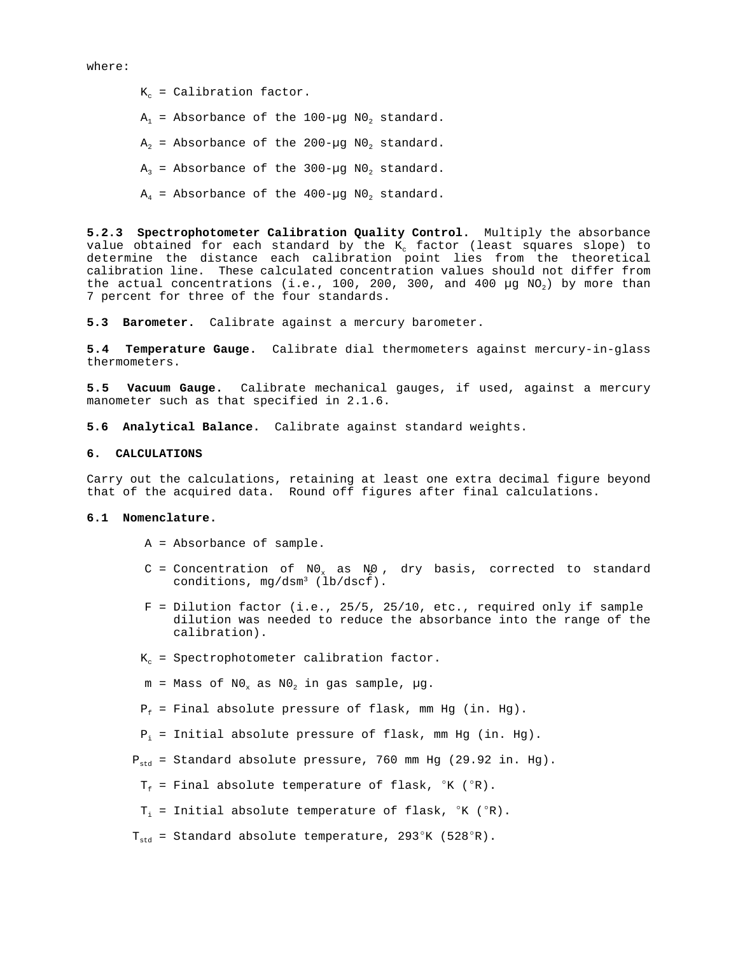where:

- $K_c$  = Calibration factor.
- $A_1$  = Absorbance of the 100-µg N0<sub>2</sub> standard.
- $A_2$  = Absorbance of the 200-µg N0<sub>2</sub> standard.
- $A_3$  = Absorbance of the 300-µg N0<sub>2</sub> standard.
- $A_4$  = Absorbance of the 400-µg NO<sub>2</sub> standard.

**5.2.3 Spectrophotometer Calibration Quality Control.** Multiply the absorbance value obtained for each standard by the  $K_c$  factor (least squares slope) to determine the distance each calibration point lies from the theoretical calibration line. These calculated concentration values should not differ from the actual concentrations (i.e., 100, 200, 300, and 400  $\mu$ g NO<sub>2</sub>) by more than 7 percent for three of the four standards.

**5.3 Barometer.** Calibrate against a mercury barometer.

**5.4 Temperature Gauge.** Calibrate dial thermometers against mercury-in-glass thermometers.

**5.5 Vacuum Gauge.** Calibrate mechanical gauges, if used, against a mercury manometer such as that specified in 2.1.6.

**5.6 Analytical Balance.** Calibrate against standard weights.

#### **6. CALCULATIONS**

Carry out the calculations, retaining at least one extra decimal figure beyond that of the acquired data. Round off figures after final calculations.

#### **6.1 Nomenclature.**

- A = Absorbance of sample.
- C = Concentration of  $NO_x$  as  $N_x$ , dry basis, corrected to standard conditions,  $mg/dsm^3$  (lb/dscf).
- F = Dilution factor (i.e., 25/5, 25/10, etc., required only if sample dilution was needed to reduce the absorbance into the range of the calibration).
- $K_c$  = Spectrophotometer calibration factor.
- $m =$  Mass of NO<sub>x</sub> as NO<sub>2</sub> in gas sample,  $\mu$ g.
- $P_f$  = Final absolute pressure of flask, mm Hg (in. Hg).
- $P_i$  = Initial absolute pressure of flask, mm Hg (in. Hg).
- $P_{std}$  = Standard absolute pressure, 760 mm Hg (29.92 in. Hg).
- $T_f$  = Final absolute temperature of flask,  $K(S)$ .
- $T_i$  = Initial absolute temperature of flask,  $K(S)$ .
- $T_{std}$  = Standard absolute temperature, 293°K (528°R).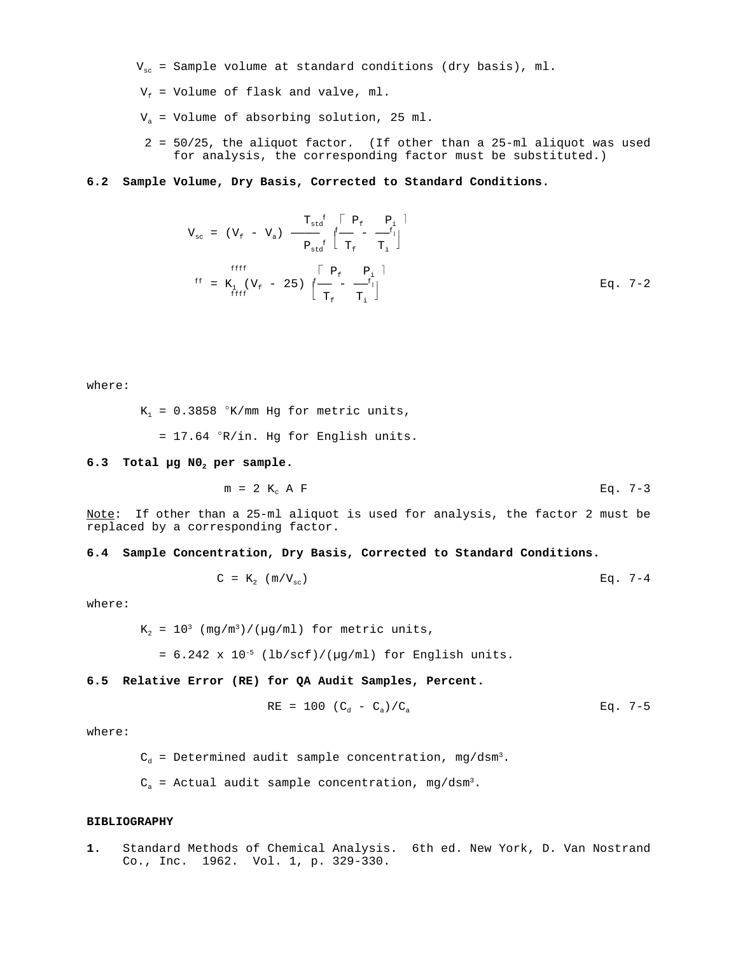- $V_{\rm sc}$  = Sample volume at standard conditions (dry basis), ml.
- $V_f$  = Volume of flask and valve, ml.
- $V_a$  = Volume of absorbing solution, 25 ml.
- $2 = 50/25$ , the aliquot factor. (If other than a 25-ml aliquot was used for analysis, the corresponding factor must be substituted.)

# **6.2 Sample Volume, Dry Basis, Corrected to Standard Conditions.**

$$
V_{sc} = (V_{f} - V_{a}) \frac{T_{std}^{f} \left[ P_{f} - P_{i} \right]}{P_{std} \left[ T_{f} - T_{i} \right]}
$$
\n
$$
f_{f} = K_{1} (V_{f} - 25) \left[ P_{f} - P_{i} \right] \frac{T_{g}}{T_{f} - T_{i}}
$$
\n
$$
Eq. 7-2
$$

where:

 $K_1 = 0.3858$  °K/mm Hg for metric units,

 $= 17.64$   $\degree$ R/in. Hg for English units.

#### **6.3 Total µg N02 per sample.**

$$
m = 2 K_c A F
$$
 Eq. 7-3

Note: If other than a 25-ml aliquot is used for analysis, the factor 2 must be replaced by a corresponding factor.

#### **6.4 Sample Concentration, Dry Basis, Corrected to Standard Conditions.**

$$
C = K_2 \left( m/V_{sc} \right) \qquad \qquad Eq. 7-4
$$

where:

 $K_2 = 10<sup>3</sup>$  (mg/m<sup>3</sup>)/(µg/ml) for metric units,

 $= 6.242 \times 10^{-5}$  (lb/scf)/(µg/ml) for English units.

#### **6.5 Relative Error (RE) for QA Audit Samples, Percent.**

$$
RE = 100 (Cd - Ca)/Ca
$$
 Eq. 7-5

where:

 $C_d$  = Determined audit sample concentration, mg/dsm<sup>3</sup>.

 $C_a$  = Actual audit sample concentration, mg/dsm<sup>3</sup>.

# **BIBLIOGRAPHY**

**1.** Standard Methods of Chemical Analysis. 6th ed. New York, D. Van Nostrand Co., Inc. 1962. Vol. 1, p. 329-330.